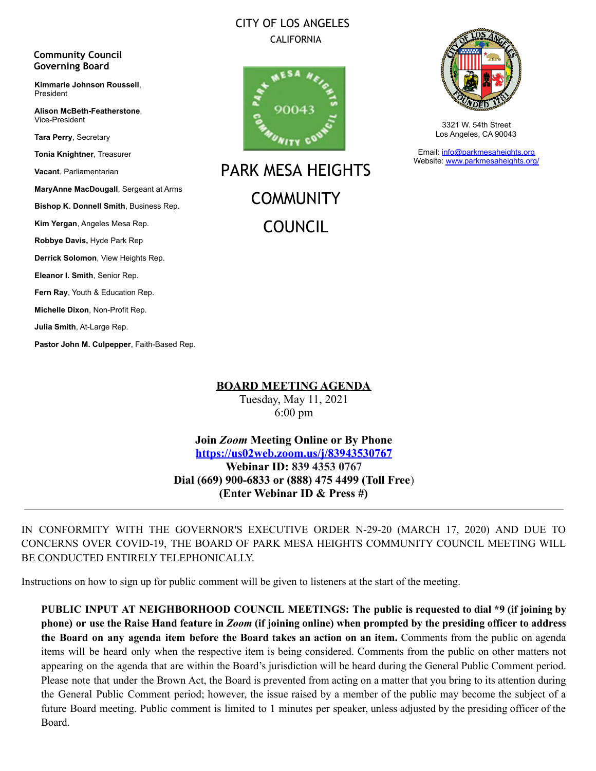### CITY OF LOS ANGELES CALIFORNIA

#### **Community Council Governing Board**

**Kimmarie Johnson Roussell**, President

**Alison McBeth-Featherstone**, Vice-President

**Tara Perry**, Secretary

**Tonia Knightner**, Treasurer

**Vacant**, Parliamentarian

**MaryAnne MacDougall**, Sergeant at Arms

**Bishop K. Donnell Smith**, Business Rep.

**Kim Yergan**, Angeles Mesa Rep.

**Robbye Davis,** Hyde Park Rep **Derrick Solomon**, View Heights Rep.

**Eleanor I. Smith**, Senior Rep.

**Fern Ray**, Youth & Education Rep.

**Michelle Dixon**, Non-Profit Rep.

**Julia Smith**, At-Large Rep.

**Pastor John M. Culpepper**, Faith-Based Rep.



PARK MESA HEIGHTS **COMMUNITY** COUNCIL



3321 W. 54th Street Los Angeles, CA 90043

Email: [info@parkmesaheights.org](mailto:info@parkmesaheights.org) Website: [www.parkmesaheights.org/](http://www.parkmesaheights.org/)

**BOARD MEETING AGENDA**

Tuesday, May 11, 2021 6:00 pm

**Join** *Zoom* **Meeting Online or By Phone <https://us02web.zoom.us/j/83943530767> Webinar ID: 839 4353 0767 Dial (669) 900-6833 or (888) 475 4499 (Toll Free**) **(Enter Webinar ID & Press #)**

IN CONFORMITY WITH THE GOVERNOR'S EXECUTIVE ORDER N-29-20 (MARCH 17, 2020) AND DUE TO CONCERNS OVER COVID-19, THE BOARD OF PARK MESA HEIGHTS COMMUNITY COUNCIL MEETING WILL BE CONDUCTED ENTIRELY TELEPHONICALLY.

Instructions on how to sign up for public comment will be given to listeners at the start of the meeting.

**PUBLIC INPUT AT NEIGHBORHOOD COUNCIL MEETINGS: The public is requested to dial \*9 (if joining by** phone) or use the Raise Hand feature in Zoom (if joining online) when prompted by the presiding officer to address **the Board on any agenda item before the Board takes an action on an item.** Comments from the public on agenda items will be heard only when the respective item is being considered. Comments from the public on other matters not appearing on the agenda that are within the Board's jurisdiction will be heard during the General Public Comment period. Please note that under the Brown Act, the Board is prevented from acting on a matter that you bring to its attention during the General Public Comment period; however, the issue raised by a member of the public may become the subject of a future Board meeting. Public comment is limited to 1 minutes per speaker, unless adjusted by the presiding officer of the Board.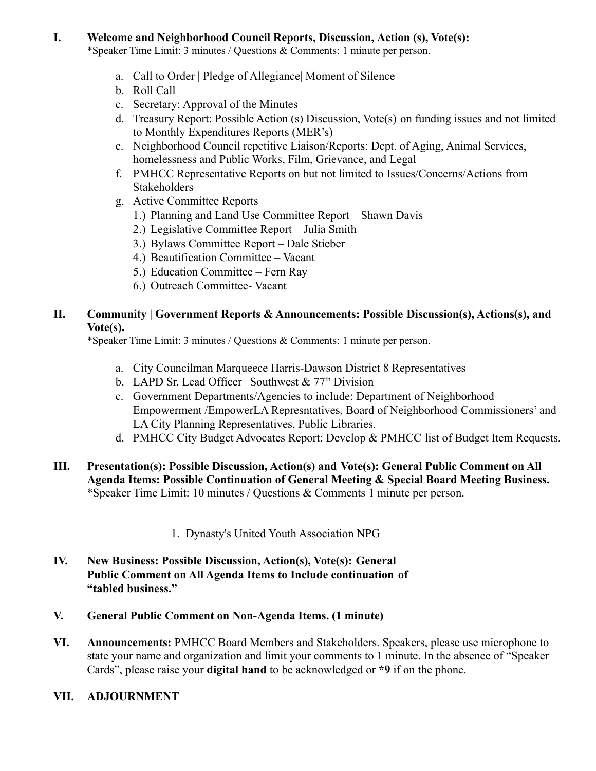#### **I. Welcome and Neighborhood Council Reports, Discussion, Action (s), Vote(s):**

\*Speaker Time Limit: 3 minutes / Questions & Comments: 1 minute per person.

- a. Call to Order | Pledge of Allegiance| Moment of Silence
- b. Roll Call
- c. Secretary: Approval of the Minutes
- d. Treasury Report: Possible Action (s) Discussion, Vote(s) on funding issues and not limited to Monthly Expenditures Reports (MER's)
- e. Neighborhood Council repetitive Liaison/Reports: Dept. of Aging, Animal Services, homelessness and Public Works, Film, Grievance, and Legal
- f. PMHCC Representative Reports on but not limited to Issues/Concerns/Actions from **Stakeholders**
- g. Active Committee Reports
	- 1.) Planning and Land Use Committee Report Shawn Davis
	- 2.) Legislative Committee Report Julia Smith
	- 3.) Bylaws Committee Report Dale Stieber
	- 4.) Beautification Committee Vacant
	- 5.) Education Committee Fern Ray
	- 6.) Outreach Committee- Vacant

### **II. Community | Government Reports & Announcements: Possible Discussion(s), Actions(s), and Vote(s).**

\*Speaker Time Limit: 3 minutes / Questions & Comments: 1 minute per person.

- a. City Councilman Marqueece Harris-Dawson District 8 Representatives
- b. LAPD Sr. Lead Officer | Southwest  $& 77<sup>th</sup> Division$
- c. Government Departments/Agencies to include: Department of Neighborhood Empowerment /EmpowerLA Represntatives, Board of Neighborhood Commissioners' and LA City Planning Representatives, Public Libraries.
- d. PMHCC City Budget Advocates Report: Develop & PMHCC list of Budget Item Requests.
- **III. Presentation(s): Possible Discussion, Action(s) and Vote(s): General Public Comment on All Agenda Items: Possible Continuation of General Meeting & Special Board Meeting Business.** \*Speaker Time Limit: 10 minutes / Questions & Comments 1 minute per person.
	- 1. Dynasty's United Youth Association NPG
- **IV. New Business: Possible Discussion, Action(s), Vote(s): General Public Comment on All Agenda Items to Include continuation of "tabled business."**
- **V. General Public Comment on Non-Agenda Items. (1 minute)**
- **VI. Announcements:** PMHCC Board Members and Stakeholders. Speakers, please use microphone to state your name and organization and limit your comments to 1 minute. In the absence of "Speaker Cards", please raise your **digital hand** to be acknowledged or **\*9** if on the phone.
- **VII. ADJOURNMENT**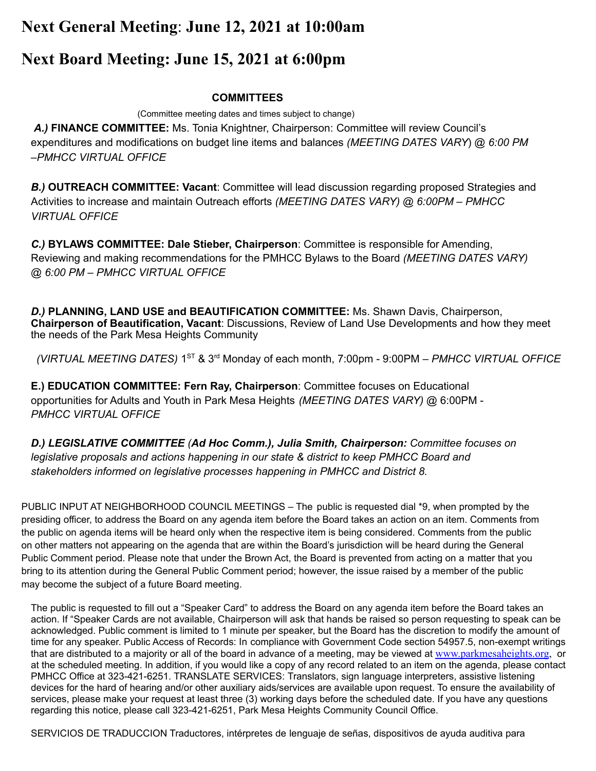## **Next General Meeting**: **June 12, 2021 at 10:00am**

# **Next Board Meeting: June 15, 2021 at 6:00pm**

#### **COMMITTEES**

(Committee meeting dates and times subject to change)

*A.)* **FINANCE COMMITTEE:** Ms. Tonia Knightner, Chairperson: Committee will review Council's expenditures and modifications on budget line items and balances *(MEETING DATES VARY*) @ *6:00 PM –PMHCC VIRTUAL OFFICE*

*B.)* **OUTREACH COMMITTEE: Vacant**: Committee will lead discussion regarding proposed Strategies and Activities to increase and maintain Outreach efforts *(MEETING DATES VARY) @ 6:00PM – PMHCC VIRTUAL OFFICE*

*C.)* **BYLAWS COMMITTEE: Dale Stieber, Chairperson**: Committee is responsible for Amending, Reviewing and making recommendations for the PMHCC Bylaws to the Board *(MEETING DATES VARY) @ 6:00 PM – PMHCC VIRTUAL OFFICE*

*D.)* **PLANNING, LAND USE and BEAUTIFICATION COMMITTEE:** Ms. Shawn Davis, Chairperson, **Chairperson of Beautification, Vacant**: Discussions, Review of Land Use Developments and how they meet the needs of the Park Mesa Heights Community

*(VIRTUAL MEETING DATES)* 1 ST & 3 rd Monday of each month, 7:00pm - 9:00PM *– PMHCC VIRTUAL OFFICE*

**E.) EDUCATION COMMITTEE: Fern Ray, Chairperson**: Committee focuses on Educational opportunities for Adults and Youth in Park Mesa Heights *(MEETING DATES VARY)* @ 6:00PM - *PMHCC VIRTUAL OFFICE*

*D.) LEGISLATIVE COMMITTEE (Ad Hoc Comm.), Julia Smith, Chairperson: Committee focuses on legislative proposals and actions happening in our state & district to keep PMHCC Board and stakeholders informed on legislative processes happening in PMHCC and District 8.*

PUBLIC INPUT AT NEIGHBORHOOD COUNCIL MEETINGS – The public is requested dial \*9, when prompted by the presiding officer, to address the Board on any agenda item before the Board takes an action on an item. Comments from the public on agenda items will be heard only when the respective item is being considered. Comments from the public on other matters not appearing on the agenda that are within the Board's jurisdiction will be heard during the General Public Comment period. Please note that under the Brown Act, the Board is prevented from acting on a matter that you bring to its attention during the General Public Comment period; however, the issue raised by a member of the public may become the subject of a future Board meeting.

The public is requested to fill out a "Speaker Card" to address the Board on any agenda item before the Board takes an action. If "Speaker Cards are not available, Chairperson will ask that hands be raised so person requesting to speak can be acknowledged. Public comment is limited to 1 minute per speaker, but the Board has the discretion to modify the amount of time for any speaker. Public Access of Records: In compliance with Government Code section 54957.5, non-exempt writings that are distributed to a majority or all of the board in advance of a meeting, may be viewed at [www.parkmesaheights.org](http://www.parkmesaheights.org), or at the scheduled meeting. In addition, if you would like a copy of any record related to an item on the agenda, please contact PMHCC Office at 323-421-6251. TRANSLATE SERVICES: Translators, sign language interpreters, assistive listening devices for the hard of hearing and/or other auxiliary aids/services are available upon request. To ensure the availability of services, please make your request at least three (3) working days before the scheduled date. If you have any questions regarding this notice, please call 323-421-6251, Park Mesa Heights Community Council Office.

SERVICIOS DE TRADUCCION Traductores, intérpretes de lenguaje de señas, dispositivos de ayuda auditiva para